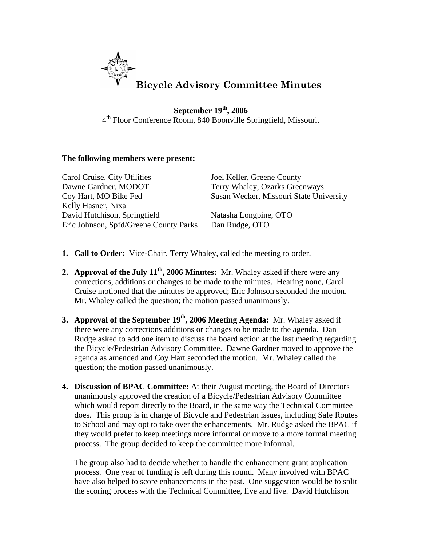

**September 19th, 2006** 4th Floor Conference Room, 840 Boonville Springfield, Missouri.

## **The following members were present:**

| Carol Cruise, City Utilities           | Joel Keller, Greene County              |
|----------------------------------------|-----------------------------------------|
| Dawne Gardner, MODOT                   | Terry Whaley, Ozarks Greenways          |
| Coy Hart, MO Bike Fed                  | Susan Wecker, Missouri State University |
| Kelly Hasner, Nixa                     |                                         |
| David Hutchison, Springfield           | Natasha Longpine, OTO                   |
| Eric Johnson, Spfd/Greene County Parks | Dan Rudge, OTO                          |

- **1. Call to Order:** Vice-Chair, Terry Whaley, called the meeting to order.
- **2. Approval of the July 11th, 2006 Minutes:** Mr. Whaley asked if there were any corrections, additions or changes to be made to the minutes. Hearing none, Carol Cruise motioned that the minutes be approved; Eric Johnson seconded the motion. Mr. Whaley called the question; the motion passed unanimously.
- **3. Approval of the September 19<sup>th</sup>, 2006 Meeting Agenda:** Mr. Whaley asked if there were any corrections additions or changes to be made to the agenda. Dan Rudge asked to add one item to discuss the board action at the last meeting regarding the Bicycle/Pedestrian Advisory Committee. Dawne Gardner moved to approve the agenda as amended and Coy Hart seconded the motion. Mr. Whaley called the question; the motion passed unanimously.
- **4. Discussion of BPAC Committee:** At their August meeting, the Board of Directors unanimously approved the creation of a Bicycle/Pedestrian Advisory Committee which would report directly to the Board, in the same way the Technical Committee does. This group is in charge of Bicycle and Pedestrian issues, including Safe Routes to School and may opt to take over the enhancements. Mr. Rudge asked the BPAC if they would prefer to keep meetings more informal or move to a more formal meeting process. The group decided to keep the committee more informal.

The group also had to decide whether to handle the enhancement grant application process. One year of funding is left during this round. Many involved with BPAC have also helped to score enhancements in the past. One suggestion would be to split the scoring process with the Technical Committee, five and five. David Hutchison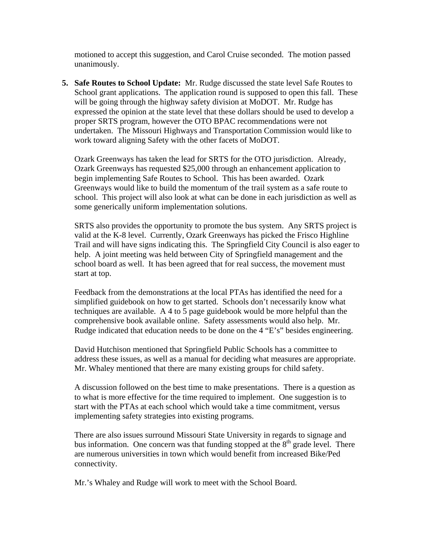motioned to accept this suggestion, and Carol Cruise seconded. The motion passed unanimously.

**5. Safe Routes to School Update:** Mr. Rudge discussed the state level Safe Routes to School grant applications. The application round is supposed to open this fall. These will be going through the highway safety division at MoDOT. Mr. Rudge has expressed the opinion at the state level that these dollars should be used to develop a proper SRTS program, however the OTO BPAC recommendations were not undertaken. The Missouri Highways and Transportation Commission would like to work toward aligning Safety with the other facets of MoDOT.

Ozark Greenways has taken the lead for SRTS for the OTO jurisdiction. Already, Ozark Greenways has requested \$25,000 through an enhancement application to begin implementing Safe Routes to School. This has been awarded. Ozark Greenways would like to build the momentum of the trail system as a safe route to school. This project will also look at what can be done in each jurisdiction as well as some generically uniform implementation solutions.

SRTS also provides the opportunity to promote the bus system. Any SRTS project is valid at the K-8 level. Currently, Ozark Greenways has picked the Frisco Highline Trail and will have signs indicating this. The Springfield City Council is also eager to help. A joint meeting was held between City of Springfield management and the school board as well. It has been agreed that for real success, the movement must start at top.

Feedback from the demonstrations at the local PTAs has identified the need for a simplified guidebook on how to get started. Schools don't necessarily know what techniques are available. A 4 to 5 page guidebook would be more helpful than the comprehensive book available online. Safety assessments would also help. Mr. Rudge indicated that education needs to be done on the 4 "E's" besides engineering.

David Hutchison mentioned that Springfield Public Schools has a committee to address these issues, as well as a manual for deciding what measures are appropriate. Mr. Whaley mentioned that there are many existing groups for child safety.

A discussion followed on the best time to make presentations. There is a question as to what is more effective for the time required to implement. One suggestion is to start with the PTAs at each school which would take a time commitment, versus implementing safety strategies into existing programs.

There are also issues surround Missouri State University in regards to signage and bus information. One concern was that funding stopped at the  $8<sup>th</sup>$  grade level. There are numerous universities in town which would benefit from increased Bike/Ped connectivity.

Mr.'s Whaley and Rudge will work to meet with the School Board.